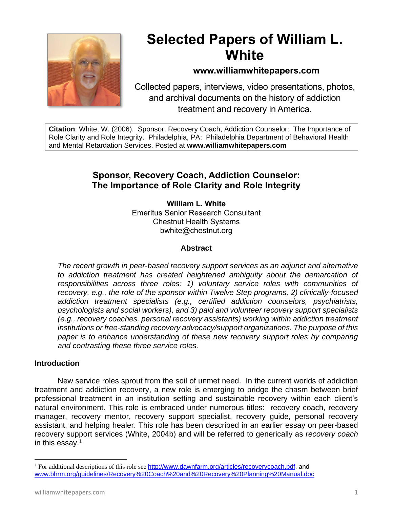

# **Selected Papers of William L. White**

# **www.williamwhitepapers.com**

Collected papers, interviews, video presentations, photos, and archival documents on the history of addiction treatment and recovery in America.

**Citation**: White, W. (2006). Sponsor, Recovery Coach, Addiction Counselor: The Importance of Role Clarity and Role Integrity. Philadelphia, PA: Philadelphia Department of Behavioral Health and Mental Retardation Services. Posted at **www.williamwhitepapers.com**

# **Sponsor, Recovery Coach, Addiction Counselor: The Importance of Role Clarity and Role Integrity**

**William L. White** Emeritus Senior Research Consultant Chestnut Health Systems bwhite@chestnut.org

# **Abstract**

*The recent growth in peer-based recovery support services as an adjunct and alternative to addiction treatment has created heightened ambiguity about the demarcation of responsibilities across three roles: 1) voluntary service roles with communities of recovery, e.g., the role of the sponsor within Twelve Step programs, 2) clinically-focused addiction treatment specialists (e.g., certified addiction counselors, psychiatrists, psychologists and social workers), and 3) paid and volunteer recovery support specialists (e.g., recovery coaches, personal recovery assistants) working within addiction treatment institutions or free-standing recovery advocacy/support organizations. The purpose of this*  paper is to enhance understanding of these new recovery support roles by comparing *and contrasting these three service roles.*

#### **Introduction**

New service roles sprout from the soil of unmet need. In the current worlds of addiction treatment and addiction recovery, a new role is emerging to bridge the chasm between brief professional treatment in an institution setting and sustainable recovery within each client's natural environment. This role is embraced under numerous titles: recovery coach, recovery manager, recovery mentor, recovery support specialist, recovery guide, personal recovery assistant, and helping healer. This role has been described in an earlier essay on peer-based recovery support services (White, 2004b) and will be referred to generically as *recovery coach*  in this essay.<sup>1</sup>

<sup>&</sup>lt;sup>1</sup> For additional descriptions of this role see [http://www.dawnfarm.org/articles/recoverycoach.pdf.](http://www.dawnfarm.org/articles/recoverycoach.pdf) and [www.bhrm.org/guidelines/Recovery%20Coach%20and%20Recovery%20Planning%20Manual.doc](http://www.bhrm.org/guidelines/Recovery%20Coach%20and%20Recovery%20Planning%20Manual.doc)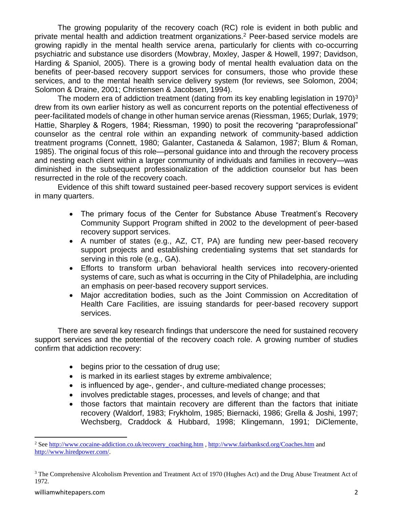The growing popularity of the recovery coach (RC) role is evident in both public and private mental health and addiction treatment organizations.<sup>2</sup> Peer-based service models are growing rapidly in the mental health service arena, particularly for clients with co-occurring psychiatric and substance use disorders (Mowbray, Moxley, Jasper & Howell, 1997; Davidson, Harding & Spaniol, 2005). There is a growing body of mental health evaluation data on the benefits of peer-based recovery support services for consumers, those who provide these services, and to the mental health service delivery system (for reviews, see Solomon, 2004; Solomon & Draine, 2001; Christensen & Jacobsen, 1994).

The modern era of addiction treatment (dating from its key enabling legislation in 1970)<sup>3</sup> drew from its own earlier history as well as concurrent reports on the potential effectiveness of peer-facilitated models of change in other human service arenas (Riessman, 1965; Durlak, 1979; Hattie, Sharpley & Rogers, 1984; Riessman, 1990) to posit the recovering "paraprofessional" counselor as the central role within an expanding network of community-based addiction treatment programs (Connett, 1980; Galanter, Castaneda & Salamon, 1987; Blum & Roman, 1985). The original focus of this role—personal guidance into and through the recovery process and nesting each client within a larger community of individuals and families in recovery—was diminished in the subsequent professionalization of the addiction counselor but has been resurrected in the role of the recovery coach.

Evidence of this shift toward sustained peer-based recovery support services is evident in many quarters.

- The primary focus of the Center for Substance Abuse Treatment's Recovery Community Support Program shifted in 2002 to the development of peer-based recovery support services.
- A number of states (e.g., AZ, CT, PA) are funding new peer-based recovery support projects and establishing credentialing systems that set standards for serving in this role (e.g., GA).
- Efforts to transform urban behavioral health services into recovery-oriented systems of care, such as what is occurring in the City of Philadelphia, are including an emphasis on peer-based recovery support services.
- Major accreditation bodies, such as the Joint Commission on Accreditation of Health Care Facilities, are issuing standards for peer-based recovery support services.

There are several key research findings that underscore the need for sustained recovery support services and the potential of the recovery coach role. A growing number of studies confirm that addiction recovery:

- begins prior to the cessation of drug use;
- is marked in its earliest stages by extreme ambivalence;
- is influenced by age-, gender-, and culture-mediated change processes;
- involves predictable stages, processes, and levels of change; and that
- those factors that maintain recovery are different than the factors that initiate recovery (Waldorf, 1983; Frykholm, 1985; Biernacki, 1986; Grella & Joshi, 1997; Wechsberg, Craddock & Hubbard, 1998; Klingemann, 1991; DiClemente,

<sup>&</sup>lt;sup>2</sup> Se[e http://www.cocaine-addiction.co.uk/recovery\\_coaching.htm](http://www.cocaine-addiction.co.uk/recovery_coaching.htm) [, http://www.fairbankscd.org/Coaches.htm](http://www.fairbankscd.org/Coaches.htm) and [http://www.hiredpower.com/.](http://www.hiredpower.com/)

<sup>&</sup>lt;sup>3</sup> The Comprehensive Alcoholism Prevention and Treatment Act of 1970 (Hughes Act) and the Drug Abuse Treatment Act of 1972.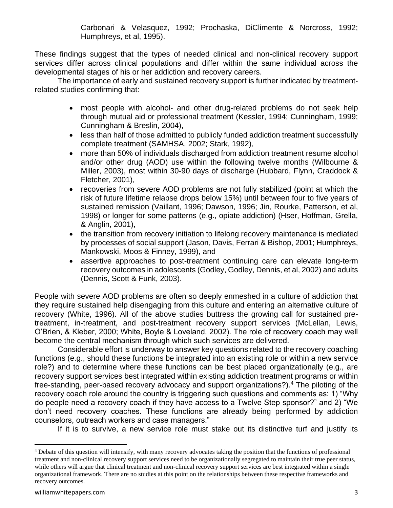Carbonari & Velasquez, 1992; Prochaska, DiClimente & Norcross, 1992; Humphreys, et al, 1995).

These findings suggest that the types of needed clinical and non-clinical recovery support services differ across clinical populations and differ within the same individual across the developmental stages of his or her addiction and recovery careers.

The importance of early and sustained recovery support is further indicated by treatmentrelated studies confirming that:

- most people with alcohol- and other drug-related problems do not seek help through mutual aid or professional treatment (Kessler, 1994; Cunningham, 1999; Cunningham & Breslin, 2004),
- less than half of those admitted to publicly funded addiction treatment successfully complete treatment (SAMHSA, 2002; Stark, 1992),
- more than 50% of individuals discharged from addiction treatment resume alcohol and/or other drug (AOD) use within the following twelve months (Wilbourne & Miller, 2003), most within 30-90 days of discharge (Hubbard, Flynn, Craddock & Fletcher, 2001),
- recoveries from severe AOD problems are not fully stabilized (point at which the risk of future lifetime relapse drops below 15%) until between four to five years of sustained remission (Vaillant, 1996; Dawson, 1996; Jin, Rourke, Patterson, et al, 1998) or longer for some patterns (e.g., opiate addiction) (Hser, Hoffman, Grella, & Anglin, 2001),
- the transition from recovery initiation to lifelong recovery maintenance is mediated by processes of social support (Jason, Davis, Ferrari & Bishop, 2001; Humphreys, Mankowski, Moos & Finney, 1999), and
- assertive approaches to post-treatment continuing care can elevate long-term recovery outcomes in adolescents (Godley, Godley, Dennis, et al, 2002) and adults (Dennis, Scott & Funk, 2003).

People with severe AOD problems are often so deeply enmeshed in a culture of addiction that they require sustained help disengaging from this culture and entering an alternative culture of recovery (White, 1996). All of the above studies buttress the growing call for sustained pretreatment, in-treatment, and post-treatment recovery support services (McLellan, Lewis, O'Brien, & Kleber, 2000; White, Boyle & Loveland, 2002). The role of recovery coach may well become the central mechanism through which such services are delivered.

Considerable effort is underway to answer key questions related to the recovery coaching functions (e.g., should these functions be integrated into an existing role or within a new service role?) and to determine where these functions can be best placed organizationally (e.g., are recovery support services best integrated within existing addiction treatment programs or within free-standing, peer-based recovery advocacy and support organizations?).<sup>4</sup> The piloting of the recovery coach role around the country is triggering such questions and comments as: 1) "Why do people need a recovery coach if they have access to a Twelve Step sponsor?" and 2) "We don't need recovery coaches. These functions are already being performed by addiction counselors, outreach workers and case managers."

If it is to survive, a new service role must stake out its distinctive turf and justify its

<sup>&</sup>lt;sup>4</sup> Debate of this question will intensify, with many recovery advocates taking the position that the functions of professional treatment and non-clinical recovery support services need to be organizationally segregated to maintain their true peer status, while others will argue that clinical treatment and non-clinical recovery support services are best integrated within a single organizational framework. There are no studies at this point on the relationships between these respective frameworks and recovery outcomes.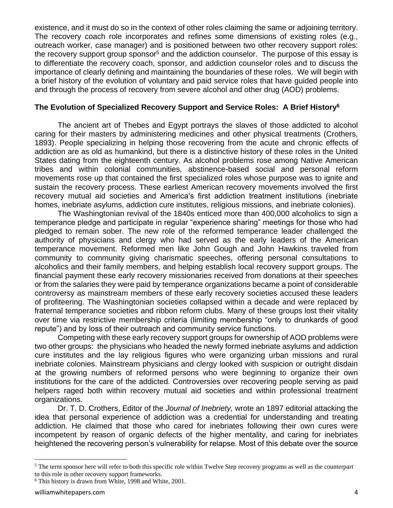existence, and it must do so in the context of other roles claiming the same or adjoining territory. The recovery coach role incorporates and refines some dimensions of existing roles (e.g., outreach worker, case manager) and is positioned between two other recovery support roles: the recovery support group sponsor<sup>5</sup> and the addiction counselor. The purpose of this essay is to differentiate the recovery coach, sponsor, and addiction counselor roles and to discuss the importance of clearly defining and maintaining the boundaries of these roles. We will begin with a brief history of the evolution of voluntary and paid service roles that have guided people into and through the process of recovery from severe alcohol and other drug (AOD) problems.

#### **The Evolution of Specialized Recovery Support and Service Roles: A Brief History<sup>6</sup>**

The ancient art of Thebes and Egypt portrays the slaves of those addicted to alcohol caring for their masters by administering medicines and other physical treatments (Crothers, 1893). People specializing in helping those recovering from the acute and chronic effects of addiction are as old as humankind, but there is a distinctive history of these roles in the United States dating from the eighteenth century. As alcohol problems rose among Native American tribes and within colonial communities, abstinence-based social and personal reform movements rose up that contained the first specialized roles whose purpose was to ignite and sustain the recovery process. These earliest American recovery movements involved the first recovery mutual aid societies and America's first addiction treatment institutions (inebriate homes, inebriate asylums, addiction cure institutes, religious missions, and inebriate colonies).

The Washingtonian revival of the 1840s enticed more than 400,000 alcoholics to sign a temperance pledge and participate in regular "experience sharing" meetings for those who had pledged to remain sober. The new role of the reformed temperance leader challenged the authority of physicians and clergy who had served as the early leaders of the American temperance movement. Reformed men like John Gough and John Hawkins traveled from community to community giving charismatic speeches, offering personal consultations to alcoholics and their family members, and helping establish local recovery support groups. The financial payment these early recovery missionaries received from donations at their speeches or from the salaries they were paid by temperance organizations became a point of considerable controversy as mainstream members of these early recovery societies accused these leaders of profiteering. The Washingtonian societies collapsed within a decade and were replaced by fraternal temperance societies and ribbon reform clubs. Many of these groups lost their vitality over time via restrictive membership criteria (limiting membership "only to drunkards of good repute") and by loss of their outreach and community service functions.

Competing with these early recovery support groups for ownership of AOD problems were two other groups: the physicians who headed the newly formed inebriate asylums and addiction cure institutes and the lay religious figures who were organizing urban missions and rural inebriate colonies. Mainstream physicians and clergy looked with suspicion or outright disdain at the growing numbers of reformed persons who were beginning to organize their own institutions for the care of the addicted. Controversies over recovering people serving as paid helpers raged both within recovery mutual aid societies and within professional treatment organizations.

Dr. T. D. Crothers, Editor of the *Journal of Inebriety,* wrote an 1897 editorial attacking the idea that personal experience of addiction was a credential for understanding and treating addiction. He claimed that those who cared for inebriates following their own cures were incompetent by reason of organic defects of the higher mentality, and caring for inebriates heightened the recovering person's vulnerability for relapse. Most of this debate over the source

<sup>&</sup>lt;sup>5</sup> The term sponsor here will refer to both this specific role within Twelve Step recovery programs as well as the counterpart to this role in other recovery support frameworks.

<sup>6</sup> This history is drawn from White, 1998 and White, 2001.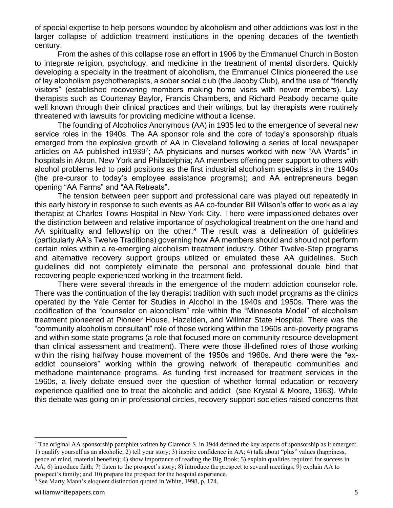of special expertise to help persons wounded by alcoholism and other addictions was lost in the larger collapse of addiction treatment institutions in the opening decades of the twentieth century.

From the ashes of this collapse rose an effort in 1906 by the Emmanuel Church in Boston to integrate religion, psychology, and medicine in the treatment of mental disorders. Quickly developing a specialty in the treatment of alcoholism, the Emmanuel Clinics pioneered the use of lay alcoholism psychotherapists, a sober social club (the Jacoby Club), and the use of "friendly visitors" (established recovering members making home visits with newer members). Lay therapists such as Courtenay Baylor, Francis Chambers, and Richard Peabody became quite well known through their clinical practices and their writings, but lay therapists were routinely threatened with lawsuits for providing medicine without a license.

The founding of Alcoholics Anonymous (AA) in 1935 led to the emergence of several new service roles in the 1940s. The AA sponsor role and the core of today's sponsorship rituals emerged from the explosive growth of AA in Cleveland following a series of local newspaper articles on AA published in1939<sup>7</sup>; AA physicians and nurses worked with new "AA Wards" in hospitals in Akron, New York and Philadelphia; AA members offering peer support to others with alcohol problems led to paid positions as the first industrial alcoholism specialists in the 1940s (the pre-cursor to today's employee assistance programs); and AA entrepreneurs began opening "AA Farms" and "AA Retreats".

The tension between peer support and professional care was played out repeatedly in this early history in response to such events as AA co-founder Bill Wilson's offer to work as a lay therapist at Charles Towns Hospital in New York City. There were impassioned debates over the distinction between and relative importance of psychological treatment on the one hand and AA spirituality and fellowship on the other.<sup>8</sup> The result was a delineation of quidelines (particularly AA's Twelve Traditions) governing how AA members should and should not perform certain roles within a re-emerging alcoholism treatment industry. Other Twelve-Step programs and alternative recovery support groups utilized or emulated these AA guidelines. Such guidelines did not completely eliminate the personal and professional double bind that recovering people experienced working in the treatment field.

There were several threads in the emergence of the modern addiction counselor role. There was the continuation of the lay therapist tradition with such model programs as the clinics operated by the Yale Center for Studies in Alcohol in the 1940s and 1950s. There was the codification of the "counselor on alcoholism" role within the "Minnesota Model" of alcoholism treatment pioneered at Pioneer House, Hazelden, and Willmar State Hospital. There was the "community alcoholism consultant" role of those working within the 1960s anti-poverty programs and within some state programs (a role that focused more on community resource development than clinical assessment and treatment). There were those ill-defined roles of those working within the rising halfway house movement of the 1950s and 1960s. And there were the "exaddict counselors" working within the growing network of therapeutic communities and methadone maintenance programs. As funding first increased for treatment services in the 1960s, a lively debate ensued over the question of whether formal education or recovery experience qualified one to treat the alcoholic and addict (see Krystal & Moore, 1963). While this debate was going on in professional circles, recovery support societies raised concerns that

<sup>8</sup> See Marty Mann's eloquent distinction quoted in White, 1998, p. 174.

<sup>7</sup> The original AA sponsorship pamphlet written by Clarence S. in 1944 defined the key aspects of sponsorship as it emerged: 1) qualify yourself as an alcoholic; 2) tell your story; 3) inspire confidence in AA; 4) talk about "plus" values (happiness, peace of mind, material benefits); 4) show importance of reading the Big Book; 5) explain qualities required for success in AA; 6) introduce faith; 7) listen to the prospect's story; 8) introduce the prospect to several meetings; 9) explain AA to prospect's family; and 10) prepare the prospect for the hospital experience.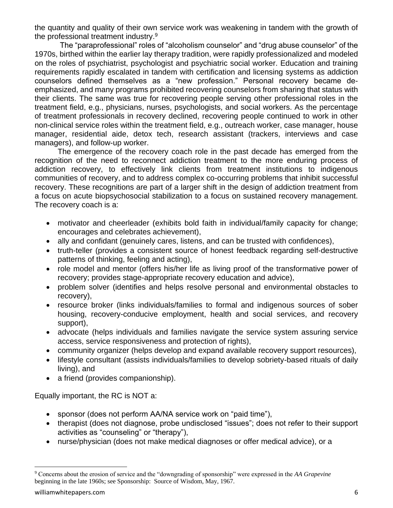the quantity and quality of their own service work was weakening in tandem with the growth of the professional treatment industry.<sup>9</sup>

The "paraprofessional" roles of "alcoholism counselor" and "drug abuse counselor" of the 1970s, birthed within the earlier lay therapy tradition, were rapidly professionalized and modeled on the roles of psychiatrist, psychologist and psychiatric social worker. Education and training requirements rapidly escalated in tandem with certification and licensing systems as addiction counselors defined themselves as a "new profession." Personal recovery became deemphasized, and many programs prohibited recovering counselors from sharing that status with their clients. The same was true for recovering people serving other professional roles in the treatment field, e.g., physicians, nurses, psychologists, and social workers. As the percentage of treatment professionals in recovery declined, recovering people continued to work in other non-clinical service roles within the treatment field, e.g., outreach worker, case manager, house manager, residential aide, detox tech, research assistant (trackers, interviews and case managers), and follow-up worker.

The emergence of the recovery coach role in the past decade has emerged from the recognition of the need to reconnect addiction treatment to the more enduring process of addiction recovery, to effectively link clients from treatment institutions to indigenous communities of recovery, and to address complex co-occurring problems that inhibit successful recovery. These recognitions are part of a larger shift in the design of addiction treatment from a focus on acute biopsychosocial stabilization to a focus on sustained recovery management. The recovery coach is a:

- motivator and cheerleader (exhibits bold faith in individual/family capacity for change; encourages and celebrates achievement),
- ally and confidant (genuinely cares, listens, and can be trusted with confidences),
- truth-teller (provides a consistent source of honest feedback regarding self-destructive patterns of thinking, feeling and acting),
- role model and mentor (offers his/her life as living proof of the transformative power of recovery; provides stage-appropriate recovery education and advice),
- problem solver (identifies and helps resolve personal and environmental obstacles to recovery),
- resource broker (links individuals/families to formal and indigenous sources of sober housing, recovery-conducive employment, health and social services, and recovery support),
- advocate (helps individuals and families navigate the service system assuring service access, service responsiveness and protection of rights),
- community organizer (helps develop and expand available recovery support resources),
- lifestyle consultant (assists individuals/families to develop sobriety-based rituals of daily living), and
- a friend (provides companionship).

Equally important, the RC is NOT a:

- sponsor (does not perform AA/NA service work on "paid time"),
- therapist (does not diagnose, probe undisclosed "issues"; does not refer to their support activities as "counseling" or "therapy"),
- nurse/physician (does not make medical diagnoses or offer medical advice), or a

<sup>9</sup> Concerns about the erosion of service and the "downgrading of sponsorship" were expressed in the *AA Grapevine* beginning in the late 1960s; see Sponsorship: Source of Wisdom, May, 1967.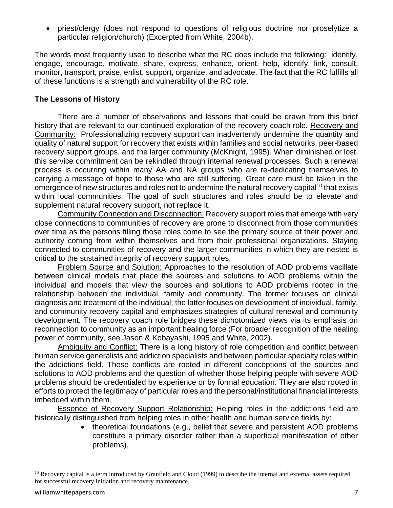• priest/clergy (does not respond to questions of religious doctrine nor proselytize a particular religion/church) (Excerpted from White, 2004b).

The words most frequently used to describe what the RC does include the following: identify, engage, encourage, motivate, share, express, enhance, orient, help, identify, link, consult, monitor, transport, praise, enlist, support, organize, and advocate. The fact that the RC fulfills all of these functions is a strength and vulnerability of the RC role.

#### **The Lessons of History**

There are a number of observations and lessons that could be drawn from this brief history that are relevant to our continued exploration of the recovery coach role. Recovery and Community: Professionalizing recovery support can inadvertently undermine the quantity and quality of natural support for recovery that exists within families and social networks, peer-based recovery support groups, and the larger community (McKnight, 1995). When diminished or lost, this service commitment can be rekindled through internal renewal processes. Such a renewal process is occurring within many AA and NA groups who are re-dedicating themselves to carrying a message of hope to those who are still suffering. Great care must be taken in the emergence of new structures and roles not to undermine the natural recovery capital<sup>10</sup> that exists within local communities. The goal of such structures and roles should be to elevate and supplement natural recovery support, not replace it.

Community Connection and Disconnection: Recovery support roles that emerge with very close connections to communities of recovery are prone to disconnect from those communities over time as the persons filling those roles come to see the primary source of their power and authority coming from within themselves and from their professional organizations. Staying connected to communities of recovery and the larger communities in which they are nested is critical to the sustained integrity of recovery support roles.

Problem Source and Solution: Approaches to the resolution of AOD problems vacillate between clinical models that place the sources and solutions to AOD problems within the individual and models that view the sources and solutions to AOD problems rooted in the relationship between the individual, family and community. The former focuses on clinical diagnosis and treatment of the individual; the latter focuses on development of individual, family, and community recovery capital and emphasizes strategies of cultural renewal and community development. The recovery coach role bridges these dichotomized views via its emphasis on reconnection to community as an important healing force (For broader recognition of the healing power of community, see Jason & Kobayashi, 1995 and White, 2002).

Ambiguity and Conflict: There is a long history of role competition and conflict between human service generalists and addiction specialists and between particular specialty roles within the addictions field. These conflicts are rooted in different conceptions of the sources and solutions to AOD problems and the question of whether those helping people with severe AOD problems should be credentialed by experience or by formal education. They are also rooted in efforts to protect the legitimacy of particular roles and the personal/institutional financial interests imbedded within them.

Essence of Recovery Support Relationship: Helping roles in the addictions field are historically distinguished from helping roles in other health and human service fields by:

• theoretical foundations (e.g., belief that severe and persistent AOD problems constitute a primary disorder rather than a superficial manifestation of other problems),

<sup>&</sup>lt;sup>10</sup> Recovery capital is a term introduced by Granfield and Cloud (1999) to describe the internal and external assets required for successful recovery initiation and recovery maintenance.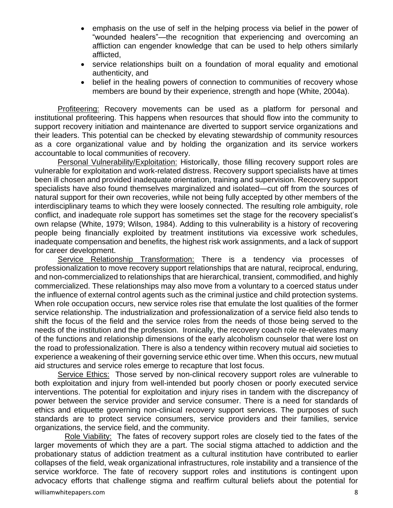- emphasis on the use of self in the helping process via belief in the power of "wounded healers"—the recognition that experiencing and overcoming an affliction can engender knowledge that can be used to help others similarly afflicted,
- service relationships built on a foundation of moral equality and emotional authenticity, and
- belief in the healing powers of connection to communities of recovery whose members are bound by their experience, strength and hope (White, 2004a).

**Profiteering:** Recovery movements can be used as a platform for personal and institutional profiteering. This happens when resources that should flow into the community to support recovery initiation and maintenance are diverted to support service organizations and their leaders. This potential can be checked by elevating stewardship of community resources as a core organizational value and by holding the organization and its service workers accountable to local communities of recovery.

Personal Vulnerability/Exploitation: Historically, those filling recovery support roles are vulnerable for exploitation and work-related distress. Recovery support specialists have at times been ill chosen and provided inadequate orientation, training and supervision. Recovery support specialists have also found themselves marginalized and isolated—cut off from the sources of natural support for their own recoveries, while not being fully accepted by other members of the interdisciplinary teams to which they were loosely connected. The resulting role ambiguity, role conflict, and inadequate role support has sometimes set the stage for the recovery specialist's own relapse (White, 1979; Wilson, 1984). Adding to this vulnerability is a history of recovering people being financially exploited by treatment institutions via excessive work schedules, inadequate compensation and benefits, the highest risk work assignments, and a lack of support for career development.

Service Relationship Transformation: There is a tendency via processes of professionalization to move recovery support relationships that are natural, reciprocal, enduring, and non-commercialized to relationships that are hierarchical, transient, commodified, and highly commercialized. These relationships may also move from a voluntary to a coerced status under the influence of external control agents such as the criminal justice and child protection systems. When role occupation occurs, new service roles rise that emulate the lost qualities of the former service relationship. The industrialization and professionalization of a service field also tends to shift the focus of the field and the service roles from the needs of those being served to the needs of the institution and the profession. Ironically, the recovery coach role re-elevates many of the functions and relationship dimensions of the early alcoholism counselor that were lost on the road to professionalization. There is also a tendency within recovery mutual aid societies to experience a weakening of their governing service ethic over time. When this occurs, new mutual aid structures and service roles emerge to recapture that lost focus.

Service Ethics: Those served by non-clinical recovery support roles are vulnerable to both exploitation and injury from well-intended but poorly chosen or poorly executed service interventions. The potential for exploitation and injury rises in tandem with the discrepancy of power between the service provider and service consumer. There is a need for standards of ethics and etiquette governing non-clinical recovery support services. The purposes of such standards are to protect service consumers, service providers and their families, service organizations, the service field, and the community.

Role Viability: The fates of recovery support roles are closely tied to the fates of the larger movements of which they are a part. The social stigma attached to addiction and the probationary status of addiction treatment as a cultural institution have contributed to earlier collapses of the field, weak organizational infrastructures, role instability and a transience of the service workforce. The fate of recovery support roles and institutions is contingent upon advocacy efforts that challenge stigma and reaffirm cultural beliefs about the potential for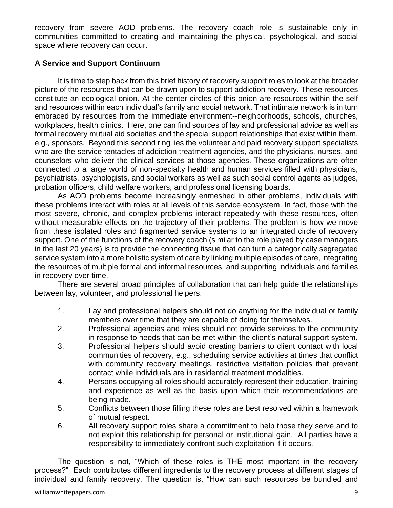recovery from severe AOD problems. The recovery coach role is sustainable only in communities committed to creating and maintaining the physical, psychological, and social space where recovery can occur.

# **A Service and Support Continuum**

It is time to step back from this brief history of recovery support roles to look at the broader picture of the resources that can be drawn upon to support addiction recovery. These resources constitute an ecological onion. At the center circles of this onion are resources within the self and resources within each individual's family and social network. That intimate network is in turn embraced by resources from the immediate environment--neighborhoods, schools, churches, workplaces, health clinics. Here, one can find sources of lay and professional advice as well as formal recovery mutual aid societies and the special support relationships that exist within them, e.g., sponsors. Beyond this second ring lies the volunteer and paid recovery support specialists who are the service tentacles of addiction treatment agencies, and the physicians, nurses, and counselors who deliver the clinical services at those agencies. These organizations are often connected to a large world of non-specialty health and human services filled with physicians, psychiatrists, psychologists, and social workers as well as such social control agents as judges, probation officers, child welfare workers, and professional licensing boards.

As AOD problems become increasingly enmeshed in other problems, individuals with these problems interact with roles at all levels of this service ecosystem. In fact, those with the most severe, chronic, and complex problems interact repeatedly with these resources, often without measurable effects on the trajectory of their problems. The problem is how we move from these isolated roles and fragmented service systems to an integrated circle of recovery support. One of the functions of the recovery coach (similar to the role played by case managers in the last 20 years) is to provide the connecting tissue that can turn a categorically segregated service system into a more holistic system of care by linking multiple episodes of care, integrating the resources of multiple formal and informal resources, and supporting individuals and families in recovery over time.

There are several broad principles of collaboration that can help guide the relationships between lay, volunteer, and professional helpers.

- 1. Lay and professional helpers should not do anything for the individual or family members over time that they are capable of doing for themselves.
- 2. Professional agencies and roles should not provide services to the community in response to needs that can be met within the client's natural support system.
- 3. Professional helpers should avoid creating barriers to client contact with local communities of recovery, e.g., scheduling service activities at times that conflict with community recovery meetings, restrictive visitation policies that prevent contact while individuals are in residential treatment modalities.
- 4. Persons occupying all roles should accurately represent their education, training and experience as well as the basis upon which their recommendations are being made.
- 5. Conflicts between those filling these roles are best resolved within a framework of mutual respect.
- 6. All recovery support roles share a commitment to help those they serve and to not exploit this relationship for personal or institutional gain. All parties have a responsibility to immediately confront such exploitation if it occurs.

The question is not, "Which of these roles is THE most important in the recovery process?" Each contributes different ingredients to the recovery process at different stages of individual and family recovery. The question is, "How can such resources be bundled and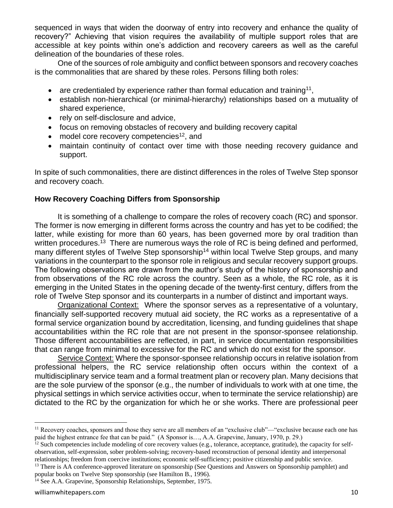sequenced in ways that widen the doorway of entry into recovery and enhance the quality of recovery?" Achieving that vision requires the availability of multiple support roles that are accessible at key points within one's addiction and recovery careers as well as the careful delineation of the boundaries of these roles.

One of the sources of role ambiguity and conflict between sponsors and recovery coaches is the commonalities that are shared by these roles. Persons filling both roles:

- are credentialed by experience rather than formal education and training<sup>11</sup>,
- establish non-hierarchical (or minimal-hierarchy) relationships based on a mutuality of shared experience,
- rely on self-disclosure and advice,
- focus on removing obstacles of recovery and building recovery capital
- model core recovery competencies<sup>12</sup>, and
- maintain continuity of contact over time with those needing recovery guidance and support.

In spite of such commonalities, there are distinct differences in the roles of Twelve Step sponsor and recovery coach.

## **How Recovery Coaching Differs from Sponsorship**

It is something of a challenge to compare the roles of recovery coach (RC) and sponsor. The former is now emerging in different forms across the country and has yet to be codified; the latter, while existing for more than 60 years, has been governed more by oral tradition than written procedures.<sup>13</sup> There are numerous ways the role of RC is being defined and performed, many different styles of Twelve Step sponsorship<sup>14</sup> within local Twelve Step groups, and many variations in the counterpart to the sponsor role in religious and secular recovery support groups. The following observations are drawn from the author's study of the history of sponsorship and from observations of the RC role across the country. Seen as a whole, the RC role, as it is emerging in the United States in the opening decade of the twenty-first century, differs from the role of Twelve Step sponsor and its counterparts in a number of distinct and important ways.

Organizational Context: Where the sponsor serves as a representative of a voluntary, financially self-supported recovery mutual aid society, the RC works as a representative of a formal service organization bound by accreditation, licensing, and funding guidelines that shape accountabilities within the RC role that are not present in the sponsor-sponsee relationship. Those different accountabilities are reflected, in part, in service documentation responsibilities that can range from minimal to excessive for the RC and which do not exist for the sponsor.

Service Context: Where the sponsor-sponsee relationship occurs in relative isolation from professional helpers, the RC service relationship often occurs within the context of a multidisciplinary service team and a formal treatment plan or recovery plan. Many decisions that are the sole purview of the sponsor (e.g., the number of individuals to work with at one time, the physical settings in which service activities occur, when to terminate the service relationship) are dictated to the RC by the organization for which he or she works. There are professional peer

<sup>&</sup>lt;sup>11</sup> Recovery coaches, sponsors and those they serve are all members of an "exclusive club"—"exclusive because each one has paid the highest entrance fee that can be paid." (A Sponsor is…, A.A. Grapevine, January, 1970, p. 29.)

<sup>&</sup>lt;sup>12</sup> Such competencies include modeling of core recovery values (e.g., tolerance, acceptance, gratitude), the capacity for selfobservation, self-expression, sober problem-solving; recovery-based reconstruction of personal identity and interpersonal relationships; freedom from coercive institutions; economic self-sufficiency; positive citizenship and public service.

<sup>&</sup>lt;sup>13</sup> There is AA conference-approved literature on sponsorship (See Questions and Answers on Sponsorship pamphlet) and popular books on Twelve Step sponsorship (see Hamilton B., 1996).

<sup>14</sup> See A.A. Grapevine, Sponsorship Relationships, September, 1975.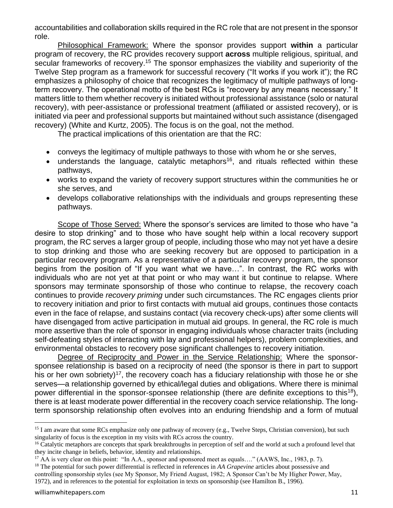accountabilities and collaboration skills required in the RC role that are not present in the sponsor role.

Philosophical Framework: Where the sponsor provides support **within** a particular program of recovery, the RC provides recovery support **across** multiple religious, spiritual, and secular frameworks of recovery.<sup>15</sup> The sponsor emphasizes the viability and superiority of the Twelve Step program as a framework for successful recovery ("It works if you work it"); the RC emphasizes a philosophy of choice that recognizes the legitimacy of multiple pathways of longterm recovery. The operational motto of the best RCs is "recovery by any means necessary." It matters little to them whether recovery is initiated without professional assistance (solo or natural recovery), with peer-assistance or professional treatment (affiliated or assisted recovery), or is initiated via peer and professional supports but maintained without such assistance (disengaged recovery) (White and Kurtz, 2005). The focus is on the goal, not the method.

The practical implications of this orientation are that the RC:

- conveys the legitimacy of multiple pathways to those with whom he or she serves,
- understands the language, catalytic metaphors<sup>16</sup>, and rituals reflected within these pathways,
- works to expand the variety of recovery support structures within the communities he or she serves, and
- develops collaborative relationships with the individuals and groups representing these pathways.

Scope of Those Served: Where the sponsor's services are limited to those who have "a desire to stop drinking" and to those who have sought help within a local recovery support program, the RC serves a larger group of people, including those who may not yet have a desire to stop drinking and those who are seeking recovery but are opposed to participation in a particular recovery program. As a representative of a particular recovery program, the sponsor begins from the position of "If you want what we have…". In contrast, the RC works with individuals who are not yet at that point or who may want it but continue to relapse. Where sponsors may terminate sponsorship of those who continue to relapse, the recovery coach continues to provide *recovery priming* under such circumstances. The RC engages clients prior to recovery initiation and prior to first contacts with mutual aid groups, continues those contacts even in the face of relapse, and sustains contact (via recovery check-ups) after some clients will have disengaged from active participation in mutual aid groups. In general, the RC role is much more assertive than the role of sponsor in engaging individuals whose character traits (including self-defeating styles of interacting with lay and professional helpers), problem complexities, and environmental obstacles to recovery pose significant challenges to recovery initiation.

Degree of Reciprocity and Power in the Service Relationship: Where the sponsorsponsee relationship is based on a reciprocity of need (the sponsor is there in part to support his or her own sobriety)<sup>17</sup>, the recovery coach has a fiduciary relationship with those he or she serves—a relationship governed by ethical/legal duties and obligations. Where there is minimal power differential in the sponsor-sponsee relationship (there are definite exceptions to this<sup>18</sup>), there is at least moderate power differential in the recovery coach service relationship. The longterm sponsorship relationship often evolves into an enduring friendship and a form of mutual

<sup>&</sup>lt;sup>15</sup> I am aware that some RCs emphasize only one pathway of recovery (e.g., Twelve Steps, Christian conversion), but such singularity of focus is the exception in my visits with RCs across the country.

<sup>&</sup>lt;sup>16</sup> Catalytic metaphors are concepts that spark breakthroughs in perception of self and the world at such a profound level that they incite change in beliefs, behavior, identity and relationships.

<sup>&</sup>lt;sup>17</sup> AA is very clear on this point: "In A.A., sponsor and sponsored meet as equals...." (AAWS, Inc., 1983, p. 7).

<sup>18</sup> The potential for such power differential is reflected in references in *AA Grapevine* articles about possessive and controlling sponsorship styles (see My Sponsor, My Friend August, 1982; A Sponsor Can't be My Higher Power, May, 1972), and in references to the potential for exploitation in texts on sponsorship (see Hamilton B., 1996).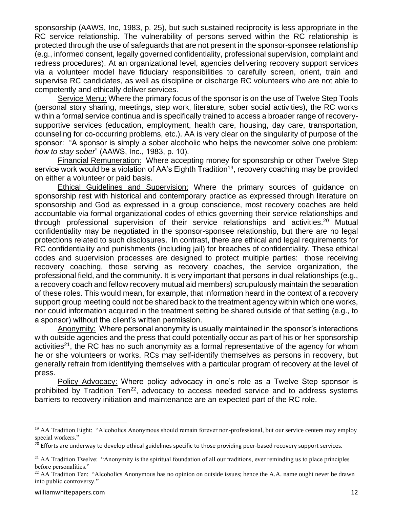sponsorship (AAWS, Inc, 1983, p. 25), but such sustained reciprocity is less appropriate in the RC service relationship. The vulnerability of persons served within the RC relationship is protected through the use of safeguards that are not present in the sponsor-sponsee relationship (e.g., informed consent, legally governed confidentiality, professional supervision, complaint and redress procedures). At an organizational level, agencies delivering recovery support services via a volunteer model have fiduciary responsibilities to carefully screen, orient, train and supervise RC candidates, as well as discipline or discharge RC volunteers who are not able to competently and ethically deliver services.

Service Menu: Where the primary focus of the sponsor is on the use of Twelve Step Tools (personal story sharing, meetings, step work, literature, sober social activities), the RC works within a formal service continua and is specifically trained to access a broader range of recoverysupportive services (education, employment, health care, housing, day care, transportation, counseling for co-occurring problems, etc.). AA is very clear on the singularity of purpose of the sponsor: "A sponsor is simply a sober alcoholic who helps the newcomer solve one problem: *how to stay sober*" (AAWS, Inc., 1983, p. 10).

Financial Remuneration: Where accepting money for sponsorship or other Twelve Step service work would be a violation of AA's Eighth Tradition<sup>19</sup>, recovery coaching may be provided on either a volunteer or paid basis.

Ethical Guidelines and Supervision: Where the primary sources of guidance on sponsorship rest with historical and contemporary practice as expressed through literature on sponsorship and God as expressed in a group conscience, most recovery coaches are held accountable via formal organizational codes of ethics governing their service relationships and through professional supervision of their service relationships and activities.<sup>20</sup> Mutual confidentiality may be negotiated in the sponsor-sponsee relationship, but there are no legal protections related to such disclosures. In contrast, there are ethical and legal requirements for RC confidentiality and punishments (including jail) for breaches of confidentiality. These ethical codes and supervision processes are designed to protect multiple parties: those receiving recovery coaching, those serving as recovery coaches, the service organization, the professional field, and the community. It is very important that persons in dual relationships (e.g., a recovery coach and fellow recovery mutual aid members) scrupulously maintain the separation of these roles. This would mean, for example, that information heard in the context of a recovery support group meeting could not be shared back to the treatment agency within which one works, nor could information acquired in the treatment setting be shared outside of that setting (e.g., to a sponsor) without the client's written permission.

Anonymity: Where personal anonymity is usually maintained in the sponsor's interactions with outside agencies and the press that could potentially occur as part of his or her sponsorship activities<sup>21</sup>, the RC has no such anonymity as a formal representative of the agency for whom he or she volunteers or works. RCs may self-identify themselves as persons in recovery, but generally refrain from identifying themselves with a particular program of recovery at the level of press.

Policy Advocacy: Where policy advocacy in one's role as a Twelve Step sponsor is prohibited by Tradition Ten<sup>22</sup>, advocacy to access needed service and to address systems barriers to recovery initiation and maintenance are an expected part of the RC role.

<sup>&</sup>lt;sup>19</sup> AA Tradition Eight: "Alcoholics Anonymous should remain forever non-professional, but our service centers may employ special workers."

<sup>&</sup>lt;sup>20</sup> Efforts are underway to develop ethical guidelines specific to those providing peer-based recovery support services.

<sup>&</sup>lt;sup>21</sup> AA Tradition Twelve: "Anonymity is the spiritual foundation of all our traditions, ever reminding us to place principles before personalities."

<sup>&</sup>lt;sup>22</sup> AA Tradition Ten: "Alcoholics Anonymous has no opinion on outside issues; hence the A.A. name ought never be drawn into public controversy."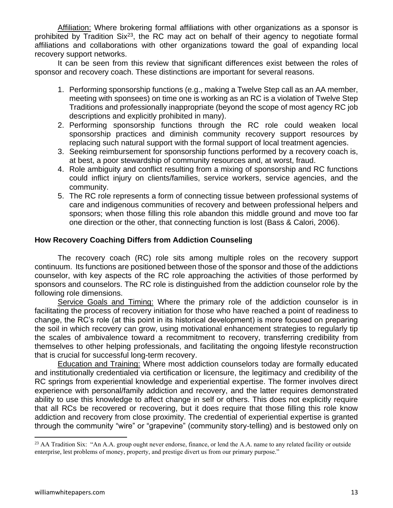Affiliation: Where brokering formal affiliations with other organizations as a sponsor is prohibited by Tradition  $\text{Six}^{23}$ , the RC may act on behalf of their agency to negotiate formal affiliations and collaborations with other organizations toward the goal of expanding local recovery support networks.

It can be seen from this review that significant differences exist between the roles of sponsor and recovery coach. These distinctions are important for several reasons.

- 1. Performing sponsorship functions (e.g., making a Twelve Step call as an AA member, meeting with sponsees) on time one is working as an RC is a violation of Twelve Step Traditions and professionally inappropriate (beyond the scope of most agency RC job descriptions and explicitly prohibited in many).
- 2. Performing sponsorship functions through the RC role could weaken local sponsorship practices and diminish community recovery support resources by replacing such natural support with the formal support of local treatment agencies.
- 3. Seeking reimbursement for sponsorship functions performed by a recovery coach is, at best, a poor stewardship of community resources and, at worst, fraud.
- 4. Role ambiguity and conflict resulting from a mixing of sponsorship and RC functions could inflict injury on clients/families, service workers, service agencies, and the community.
- 5. The RC role represents a form of connecting tissue between professional systems of care and indigenous communities of recovery and between professional helpers and sponsors; when those filling this role abandon this middle ground and move too far one direction or the other, that connecting function is lost (Bass & Calori, 2006).

#### **How Recovery Coaching Differs from Addiction Counseling**

The recovery coach (RC) role sits among multiple roles on the recovery support continuum. Its functions are positioned between those of the sponsor and those of the addictions counselor, with key aspects of the RC role approaching the activities of those performed by sponsors and counselors. The RC role is distinguished from the addiction counselor role by the following role dimensions.

Service Goals and Timing: Where the primary role of the addiction counselor is in facilitating the process of recovery initiation for those who have reached a point of readiness to change, the RC's role (at this point in its historical development) is more focused on preparing the soil in which recovery can grow, using motivational enhancement strategies to regularly tip the scales of ambivalence toward a recommitment to recovery, transferring credibility from themselves to other helping professionals, and facilitating the ongoing lifestyle reconstruction that is crucial for successful long-term recovery.

Education and Training: Where most addiction counselors today are formally educated and institutionally credentialed via certification or licensure, the legitimacy and credibility of the RC springs from experiential knowledge and experiential expertise. The former involves direct experience with personal/family addiction and recovery, and the latter requires demonstrated ability to use this knowledge to affect change in self or others. This does not explicitly require that all RCs be recovered or recovering, but it does require that those filling this role know addiction and recovery from close proximity. The credential of experiential expertise is granted through the community "wire" or "grapevine" (community story-telling) and is bestowed only on

<sup>&</sup>lt;sup>23</sup> AA Tradition Six: "An A.A. group ought never endorse, finance, or lend the A.A. name to any related facility or outside enterprise, lest problems of money, property, and prestige divert us from our primary purpose."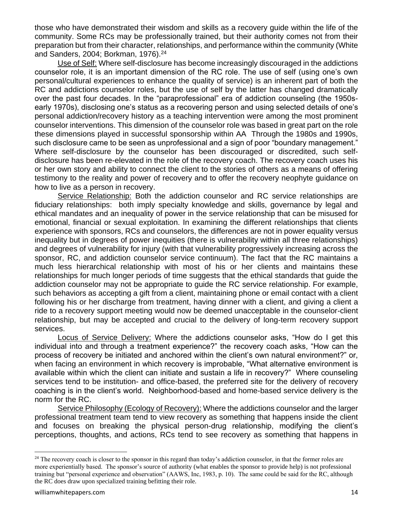those who have demonstrated their wisdom and skills as a recovery guide within the life of the community. Some RCs may be professionally trained, but their authority comes not from their preparation but from their character, relationships, and performance within the community (White and Sanders, 2004; Borkman, 1976).<sup>24</sup>

Use of Self: Where self-disclosure has become increasingly discouraged in the addictions counselor role, it is an important dimension of the RC role. The use of self (using one's own personal/cultural experiences to enhance the quality of service) is an inherent part of both the RC and addictions counselor roles, but the use of self by the latter has changed dramatically over the past four decades. In the "paraprofessional" era of addiction counseling (the 1950searly 1970s), disclosing one's status as a recovering person and using selected details of one's personal addiction/recovery history as a teaching intervention were among the most prominent counselor interventions. This dimension of the counselor role was based in great part on the role these dimensions played in successful sponsorship within AA Through the 1980s and 1990s, such disclosure came to be seen as unprofessional and a sign of poor "boundary management." Where self-disclosure by the counselor has been discouraged or discredited, such selfdisclosure has been re-elevated in the role of the recovery coach. The recovery coach uses his or her own story and ability to connect the client to the stories of others as a means of offering testimony to the reality and power of recovery and to offer the recovery neophyte guidance on how to live as a person in recovery.

Service Relationship: Both the addiction counselor and RC service relationships are fiduciary relationships: both imply specialty knowledge and skills, governance by legal and ethical mandates and an inequality of power in the service relationship that can be misused for emotional, financial or sexual exploitation. In examining the different relationships that clients experience with sponsors, RCs and counselors, the differences are not in power equality versus inequality but in degrees of power inequities (there is vulnerability within all three relationships) and degrees of vulnerability for injury (with that vulnerability progressively increasing across the sponsor, RC, and addiction counselor service continuum). The fact that the RC maintains a much less hierarchical relationship with most of his or her clients and maintains these relationships for much longer periods of time suggests that the ethical standards that guide the addiction counselor may not be appropriate to guide the RC service relationship. For example, such behaviors as accepting a gift from a client, maintaining phone or email contact with a client following his or her discharge from treatment, having dinner with a client, and giving a client a ride to a recovery support meeting would now be deemed unacceptable in the counselor-client relationship, but may be accepted and crucial to the delivery of long-term recovery support services.

Locus of Service Delivery: Where the addictions counselor asks, "How do I get this individual into and through a treatment experience?" the recovery coach asks, "How can the process of recovery be initiated and anchored within the client's own natural environment?" or, when facing an environment in which recovery is improbable, "What alternative environment is available within which the client can initiate and sustain a life in recovery?" Where counseling services tend to be institution- and office-based, the preferred site for the delivery of recovery coaching is in the client's world. Neighborhood-based and home-based service delivery is the norm for the RC.

Service Philosophy (Ecology of Recovery): Where the addictions counselor and the larger professional treatment team tend to view recovery as something that happens inside the client and focuses on breaking the physical person-drug relationship, modifying the client's perceptions, thoughts, and actions, RCs tend to see recovery as something that happens in

 $24$  The recovery coach is closer to the sponsor in this regard than today's addiction counselor, in that the former roles are more experientially based. The sponsor's source of authority (what enables the sponsor to provide help) is not professional training but "personal experience and observation" (AAWS, Inc, 1983, p. 10). The same could be said for the RC, although the RC does draw upon specialized training befitting their role.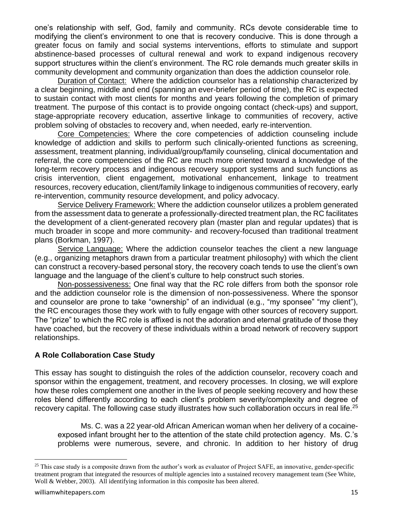one's relationship with self, God, family and community. RCs devote considerable time to modifying the client's environment to one that is recovery conducive. This is done through a greater focus on family and social systems interventions, efforts to stimulate and support abstinence-based processes of cultural renewal and work to expand indigenous recovery support structures within the client's environment. The RC role demands much greater skills in community development and community organization than does the addiction counselor role.

Duration of Contact: Where the addiction counselor has a relationship characterized by a clear beginning, middle and end (spanning an ever-briefer period of time), the RC is expected to sustain contact with most clients for months and years following the completion of primary treatment. The purpose of this contact is to provide ongoing contact (check-ups) and support, stage-appropriate recovery education, assertive linkage to communities of recovery, active problem solving of obstacles to recovery and, when needed, early re-intervention.

Core Competencies: Where the core competencies of addiction counseling include knowledge of addiction and skills to perform such clinically-oriented functions as screening, assessment, treatment planning, individual/group/family counseling, clinical documentation and referral, the core competencies of the RC are much more oriented toward a knowledge of the long-term recovery process and indigenous recovery support systems and such functions as crisis intervention, client engagement, motivational enhancement, linkage to treatment resources, recovery education, client/family linkage to indigenous communities of recovery, early re-intervention, community resource development, and policy advocacy.

Service Delivery Framework: Where the addiction counselor utilizes a problem generated from the assessment data to generate a professionally-directed treatment plan, the RC facilitates the development of a client-generated recovery plan (master plan and regular updates) that is much broader in scope and more community- and recovery-focused than traditional treatment plans (Borkman, 1997).

Service Language: Where the addiction counselor teaches the client a new language (e.g., organizing metaphors drawn from a particular treatment philosophy) with which the client can construct a recovery-based personal story, the recovery coach tends to use the client's own language and the language of the client's culture to help construct such stories.

Non-possessiveness: One final way that the RC role differs from both the sponsor role and the addiction counselor role is the dimension of non-possessiveness. Where the sponsor and counselor are prone to take "ownership" of an individual (e.g., "my sponsee" "my client"), the RC encourages those they work with to fully engage with other sources of recovery support. The "prize" to which the RC role is affixed is not the adoration and eternal gratitude of those they have coached, but the recovery of these individuals within a broad network of recovery support relationships.

#### **A Role Collaboration Case Study**

This essay has sought to distinguish the roles of the addiction counselor, recovery coach and sponsor within the engagement, treatment, and recovery processes. In closing, we will explore how these roles complement one another in the lives of people seeking recovery and how these roles blend differently according to each client's problem severity/complexity and degree of recovery capital. The following case study illustrates how such collaboration occurs in real life.<sup>25</sup>

Ms. C. was a 22 year-old African American woman when her delivery of a cocaineexposed infant brought her to the attention of the state child protection agency. Ms. C.'s problems were numerous, severe, and chronic. In addition to her history of drug

 $25$  This case study is a composite drawn from the author's work as evaluator of Project SAFE, an innovative, gender-specific treatment program that integrated the resources of multiple agencies into a sustained recovery management team (See White, Woll & Webber, 2003). All identifying information in this composite has been altered.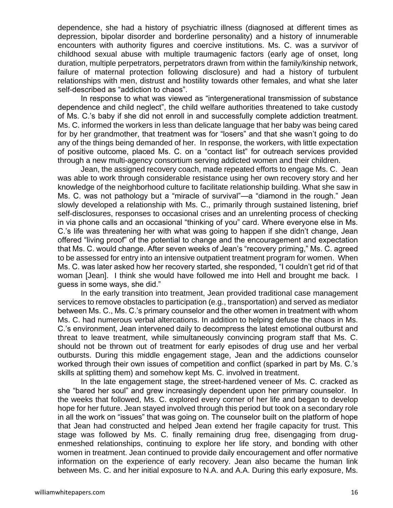dependence, she had a history of psychiatric illness (diagnosed at different times as depression, bipolar disorder and borderline personality) and a history of innumerable encounters with authority figures and coercive institutions. Ms. C. was a survivor of childhood sexual abuse with multiple traumagenic factors (early age of onset, long duration, multiple perpetrators, perpetrators drawn from within the family/kinship network, failure of maternal protection following disclosure) and had a history of turbulent relationships with men, distrust and hostility towards other females, and what she later self-described as "addiction to chaos".

In response to what was viewed as "intergenerational transmission of substance dependence and child neglect", the child welfare authorities threatened to take custody of Ms. C.'s baby if she did not enroll in and successfully complete addiction treatment. Ms. C. informed the workers in less than delicate language that her baby was being cared for by her grandmother, that treatment was for "losers" and that she wasn't going to do any of the things being demanded of her. In response, the workers, with little expectation of positive outcome, placed Ms. C. on a "contact list" for outreach services provided through a new multi-agency consortium serving addicted women and their children.

Jean, the assigned recovery coach, made repeated efforts to engage Ms. C. Jean was able to work through considerable resistance using her own recovery story and her knowledge of the neighborhood culture to facilitate relationship building. What she saw in Ms. C. was not pathology but a "miracle of survival"—a "diamond in the rough." Jean slowly developed a relationship with Ms. C., primarily through sustained listening, brief self-disclosures, responses to occasional crises and an unrelenting process of checking in via phone calls and an occasional "thinking of you" card. Where everyone else in Ms. C.'s life was threatening her with what was going to happen if she didn't change, Jean offered "living proof" of the potential to change and the encouragement and expectation that Ms. C. would change. After seven weeks of Jean's "recovery priming," Ms. C. agreed to be assessed for entry into an intensive outpatient treatment program for women. When Ms. C. was later asked how her recovery started, she responded, "I couldn't get rid of that woman [Jean]. I think she would have followed me into Hell and brought me back. I guess in some ways, she did."

In the early transition into treatment, Jean provided traditional case management services to remove obstacles to participation (e.g., transportation) and served as mediator between Ms. C., Ms. C.'s primary counselor and the other women in treatment with whom Ms. C. had numerous verbal altercations. In addition to helping defuse the chaos in Ms. C.'s environment, Jean intervened daily to decompress the latest emotional outburst and threat to leave treatment, while simultaneously convincing program staff that Ms. C. should not be thrown out of treatment for early episodes of drug use and her verbal outbursts. During this middle engagement stage, Jean and the addictions counselor worked through their own issues of competition and conflict (sparked in part by Ms. C.'s skills at splitting them) and somehow kept Ms. C. involved in treatment.

In the late engagement stage, the street-hardened veneer of Ms. C. cracked as she "bared her soul" and grew increasingly dependent upon her primary counselor. In the weeks that followed, Ms. C. explored every corner of her life and began to develop hope for her future. Jean stayed involved through this period but took on a secondary role in all the work on "issues" that was going on. The counselor built on the platform of hope that Jean had constructed and helped Jean extend her fragile capacity for trust. This stage was followed by Ms. C. finally remaining drug free, disengaging from drugenmeshed relationships, continuing to explore her life story, and bonding with other women in treatment. Jean continued to provide daily encouragement and offer normative information on the experience of early recovery. Jean also became the human link between Ms. C. and her initial exposure to N.A. and A.A. During this early exposure, Ms.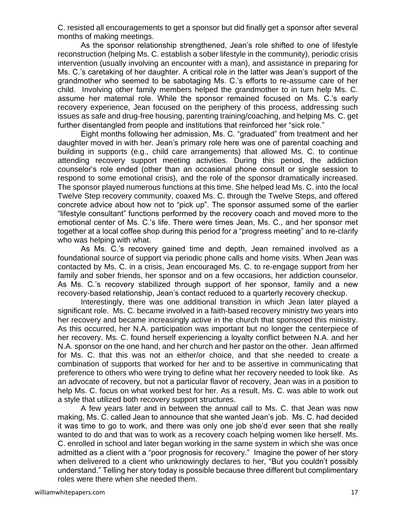C. resisted all encouragements to get a sponsor but did finally get a sponsor after several months of making meetings.

As the sponsor relationship strengthened, Jean's role shifted to one of lifestyle reconstruction (helping Ms. C. establish a sober lifestyle in the community), periodic crisis intervention (usually involving an encounter with a man), and assistance in preparing for Ms. C.'s caretaking of her daughter. A critical role in the latter was Jean's support of the grandmother who seemed to be sabotaging Ms. C.'s efforts to re-assume care of her child. Involving other family members helped the grandmother to in turn help Ms. C. assume her maternal role. While the sponsor remained focused on Ms. C.'s early recovery experience, Jean focused on the periphery of this process, addressing such issues as safe and drug-free housing, parenting training/coaching, and helping Ms. C. get further disentangled from people and institutions that reinforced her "sick role."

Eight months following her admission, Ms. C. "graduated" from treatment and her daughter moved in with her. Jean's primary role here was one of parental coaching and building in supports (e.g., child care arrangements) that allowed Ms. C. to continue attending recovery support meeting activities. During this period, the addiction counselor's role ended (other than an occasional phone consult or single session to respond to some emotional crisis), and the role of the sponsor dramatically increased. The sponsor played numerous functions at this time. She helped lead Ms. C. into the local Twelve Step recovery community, coaxed Ms. C. through the Twelve Steps, and offered concrete advice about how not to "pick up". The sponsor assumed some of the earlier "lifestyle consultant" functions performed by the recovery coach and moved more to the emotional center of Ms. C.'s life. There were times Jean, Ms. C., and her sponsor met together at a local coffee shop during this period for a "progress meeting" and to re-clarify who was helping with what.

As Ms. C.'s recovery gained time and depth, Jean remained involved as a foundational source of support via periodic phone calls and home visits. When Jean was contacted by Ms. C. in a crisis, Jean encouraged Ms. C. to re-engage support from her family and sober friends, her sponsor and on a few occasions, her addiction counselor. As Ms. C.'s recovery stabilized through support of her sponsor, family and a new recovery-based relationship, Jean's contact reduced to a quarterly recovery checkup.

Interestingly, there was one additional transition in which Jean later played a significant role. Ms. C. became involved in a faith-based recovery ministry two years into her recovery and became increasingly active in the church that sponsored this ministry. As this occurred, her N.A. participation was important but no longer the centerpiece of her recovery. Ms. C. found herself experiencing a loyalty conflict between N.A. and her N.A. sponsor on the one hand, and her church and her pastor on the other. Jean affirmed for Ms. C. that this was not an either/or choice, and that she needed to create a combination of supports that worked for her and to be assertive in communicating that preference to others who were trying to define what her recovery needed to look like. As an advocate of recovery, but not a particular flavor of recovery, Jean was in a position to help Ms. C. focus on what worked best for her. As a result, Ms. C. was able to work out a style that utilized both recovery support structures.

A few years later and in between the annual call to Ms. C. that Jean was now making, Ms. C. called Jean to announce that she wanted Jean's job. Ms. C. had decided it was time to go to work, and there was only one job she'd ever seen that she really wanted to do and that was to work as a recovery coach helping women like herself. Ms. C. enrolled in school and later began working in the same system in which she was once admitted as a client with a "poor prognosis for recovery." Imagine the power of her story when delivered to a client who unknowingly declares to her, "But you couldn't possibly understand." Telling her story today is possible because three different but complimentary roles were there when she needed them.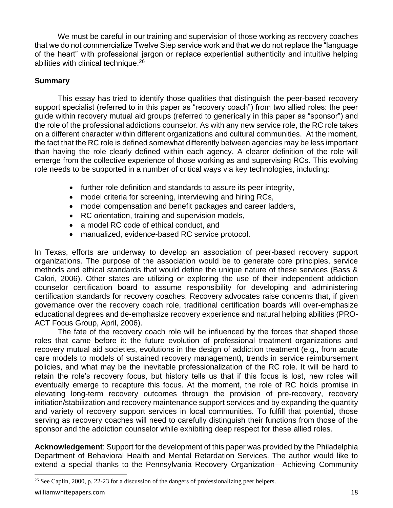We must be careful in our training and supervision of those working as recovery coaches that we do not commercialize Twelve Step service work and that we do not replace the "language of the heart" with professional jargon or replace experiential authenticity and intuitive helping abilities with clinical technique.<sup>26</sup>

# **Summary**

This essay has tried to identify those qualities that distinguish the peer-based recovery support specialist (referred to in this paper as "recovery coach") from two allied roles: the peer guide within recovery mutual aid groups (referred to generically in this paper as "sponsor") and the role of the professional addictions counselor. As with any new service role, the RC role takes on a different character within different organizations and cultural communities. At the moment, the fact that the RC role is defined somewhat differently between agencies may be less important than having the role clearly defined within each agency. A clearer definition of the role will emerge from the collective experience of those working as and supervising RCs. This evolving role needs to be supported in a number of critical ways via key technologies, including:

- further role definition and standards to assure its peer integrity,
- model criteria for screening, interviewing and hiring RCs,
- model compensation and benefit packages and career ladders,
- RC orientation, training and supervision models,
- a model RC code of ethical conduct, and
- manualized, evidence-based RC service protocol.

In Texas, efforts are underway to develop an association of peer-based recovery support organizations. The purpose of the association would be to generate core principles, service methods and ethical standards that would define the unique nature of these services (Bass & Calori, 2006). Other states are utilizing or exploring the use of their independent addiction counselor certification board to assume responsibility for developing and administering certification standards for recovery coaches. Recovery advocates raise concerns that, if given governance over the recovery coach role, traditional certification boards will over-emphasize educational degrees and de-emphasize recovery experience and natural helping abilities (PRO-ACT Focus Group, April, 2006).

The fate of the recovery coach role will be influenced by the forces that shaped those roles that came before it: the future evolution of professional treatment organizations and recovery mutual aid societies, evolutions in the design of addiction treatment (e.g., from acute care models to models of sustained recovery management), trends in service reimbursement policies, and what may be the inevitable professionalization of the RC role. It will be hard to retain the role's recovery focus, but history tells us that if this focus is lost, new roles will eventually emerge to recapture this focus. At the moment, the role of RC holds promise in elevating long-term recovery outcomes through the provision of pre-recovery, recovery initiation/stabilization and recovery maintenance support services and by expanding the quantity and variety of recovery support services in local communities. To fulfill that potential, those serving as recovery coaches will need to carefully distinguish their functions from those of the sponsor and the addiction counselor while exhibiting deep respect for these allied roles.

**Acknowledgement**: Support for the development of this paper was provided by the Philadelphia Department of Behavioral Health and Mental Retardation Services. The author would like to extend a special thanks to the Pennsylvania Recovery Organization—Achieving Community

<sup>26</sup> See Caplin, 2000, p. 22-23 for a discussion of the dangers of professionalizing peer helpers.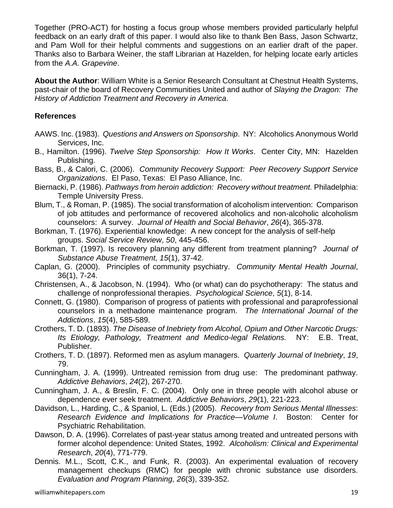Together (PRO-ACT) for hosting a focus group whose members provided particularly helpful feedback on an early draft of this paper. I would also like to thank Ben Bass, Jason Schwartz, and Pam Woll for their helpful comments and suggestions on an earlier draft of the paper. Thanks also to Barbara Weiner, the staff Librarian at Hazelden, for helping locate early articles from the *A.A. Grapevine*.

**About the Author**: William White is a Senior Research Consultant at Chestnut Health Systems, past-chair of the board of Recovery Communities United and author of *Slaying the Dragon: The History of Addiction Treatment and Recovery in America*.

## **References**

- AAWS. Inc. (1983). *Questions and Answers on Sponsorship*. NY: Alcoholics Anonymous World Services, Inc.
- B., Hamilton. (1996). *Twelve Step Sponsorship: How It Works*. Center City, MN: Hazelden Publishing.
- Bass, B., & Calori, C. (2006). *Community Recovery Support: Peer Recovery Support Service Organizations*. El Paso, Texas: El Paso Alliance, Inc.
- Biernacki, P. (1986). *Pathways from heroin addiction: Recovery without treatment.* Philadelphia: Temple University Press.
- Blum, T., & Roman, P. (1985). The social transformation of alcoholism intervention: Comparison of job attitudes and performance of recovered alcoholics and non-alcoholic alcoholism counselors: A survey. *Journal of Health and Social Behavior*, *26*(4), 365-378.
- Borkman, T. (1976). Experiential knowledge: A new concept for the analysis of self-help groups. *Social Service Review*, *50*, 445-456.
- Borkman, T. (1997). Is recovery planning any different from treatment planning? *Journal of Substance Abuse Treatment, 15*(1), 37-42.
- Caplan, G. (2000). Principles of community psychiatry. *Community Mental Health Journal*, 36(1), 7-24.
- Christensen, A., & Jacobson, N. (1994). Who (or what) can do psychotherapy: The status and challenge of nonprofessional therapies. *Psychological Science*, *5*(1), 8-14.
- Connett, G. (1980). Comparison of progress of patients with professional and paraprofessional counselors in a methadone maintenance program. *The International Journal of the Addictions*, *15*(4), 585-589.
- Crothers, T. D. (1893). *The Disease of Inebriety from Alcohol, Opium and Other Narcotic Drugs: Its Etiology, Pathology, Treatment and Medico-legal Relations.* NY: E.B. Treat, Publisher.
- Crothers, T. D. (1897). Reformed men as asylum managers. *Quarterly Journal of Inebriety*, *19*, 79.
- Cunningham, J. A. (1999). Untreated remission from drug use: The predominant pathway. *Addictive Behaviors*, *24*(2), 267-270.
- Cunningham, J. A., & Breslin, F. C. (2004). Only one in three people with alcohol abuse or dependence ever seek treatment. *Addictive Behaviors*, *29*(1), 221-223.
- Davidson, L., Harding, C., & Spaniol, L. (Eds.) (2005). *Recovery from Serious Mental Illnesses*: *Research Evidence and Implications for Practice—Volume I*. Boston: Center for Psychiatric Rehabilitation.
- Dawson, D. A. (1996). Correlates of past-year status among treated and untreated persons with former alcohol dependence: United States, 1992. *Alcoholism: Clinical and Experimental Research*, *20*(4), 771-779.
- Dennis. M.L., Scott, C.K., and Funk, R. (2003). An experimental evaluation of recovery management checkups (RMC) for people with chronic substance use disorders. *Evaluation and Program Planning, 26*(3), 339-352.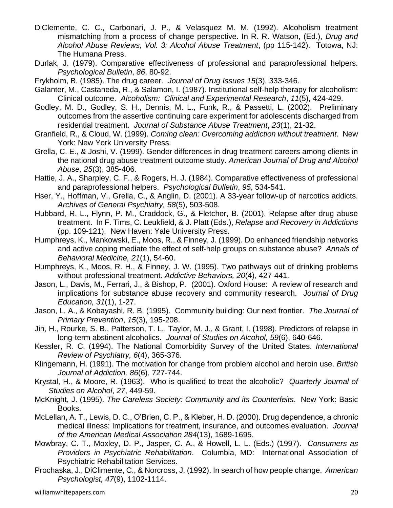- DiClemente, C. C., Carbonari, J. P., & Velasquez M. M. (1992). Alcoholism treatment mismatching from a process of change perspective. In R. R. Watson, (Ed.), *Drug and Alcohol Abuse Reviews, Vol. 3: Alcohol Abuse Treatment*, (pp 115-142). Totowa, NJ: The Humana Press.
- Durlak, J. (1979). Comparative effectiveness of professional and paraprofessional helpers. *Psychological Bulletin*, *86*, 80-92.
- Frykholm, B. (1985). The drug career. *Journal of Drug Issues 15*(3), 333-346.
- Galanter, M., Castaneda, R., & Salamon, I. (1987). Institutional self-help therapy for alcoholism: Clinical outcome. *Alcoholism: Clinical and Experimental Research*, *11*(5), 424-429.
- Godley, M. D., Godley, S. H., Dennis, M. L., Funk, R., & Passetti, L. (2002). Preliminary outcomes from the assertive continuing care experiment for adolescents discharged from residential treatment. *Journal of Substance Abuse Treatment*, *23*(1), 21-32.
- Granfield, R., & Cloud, W. (1999). *Coming clean: Overcoming addiction without treatment*. New York: New York University Press.
- Grella, C. E., & Joshi, V. (1999). Gender differences in drug treatment careers among clients in the national drug abuse treatment outcome study. *American Journal of Drug and Alcohol Abuse, 25*(3), 385-406.
- Hattie, J. A., Sharpley, C. F., & Rogers, H. J. (1984). Comparative effectiveness of professional and paraprofessional helpers. *Psychological Bulletin*, *95*, 534-541.
- Hser, Y., Hoffman, V., Grella, C., & Anglin, D. (2001). A 33-year follow-up of narcotics addicts. *Archives of General Psychiatry, 58*(5), 503-508.
- Hubbard, R. L., Flynn, P. M., Craddock, G., & Fletcher, B. (2001). Relapse after drug abuse treatment. In F. Tims, C. Leukfield, & J. Platt (Eds.), *Relapse and Recovery in Addictions* (pp. 109-121). New Haven: Yale University Press.
- Humphreys, K., Mankowski, E., Moos, R., & Finney, J. (1999). Do enhanced friendship networks and active coping mediate the effect of self-help groups on substance abuse? *Annals of Behavioral Medicine, 21*(1), 54-60.
- Humphreys, K., Moos, R. H., & Finney, J. W. (1995). Two pathways out of drinking problems without professional treatment. *Addictive Behaviors, 20*(4), 427-441.
- Jason, L., Davis, M., Ferrari, J., & Bishop, P. (2001). Oxford House: A review of research and implications for substance abuse recovery and community research. *Journal of Drug Education, 31*(1), 1-27.
- Jason, L. A., & Kobayashi, R. B. (1995). Community building: Our next frontier. *The Journal of Primary Prevention*, *15*(3), 195-208.
- Jin, H., Rourke, S. B., Patterson, T. L., Taylor, M. J., & Grant, I. (1998). Predictors of relapse in long-term abstinent alcoholics. *Journal of Studies on Alcohol, 59*(6), 640-646.
- Kessler, R. C. (1994). The National Comorbidity Survey of the United States. *International Review of Psychiatry, 6*(4), 365-376.
- Klingemann, H. (1991). The motivation for change from problem alcohol and heroin use. *British Journal of Addiction, 86*(6), 727-744.
- Krystal, H., & Moore, R. (1963). Who is qualified to treat the alcoholic? *Quarterly Journal of Studies on Alcohol*, *27*, 449-59.
- McKnight, J. (1995). *The Careless Society: Community and its Counterfeits*. New York: Basic Books.
- McLellan, A. T., Lewis, D. C., O'Brien, C. P., & Kleber, H. D. (2000). Drug dependence, a chronic medical illness: Implications for treatment, insurance, and outcomes evaluation. *Journal of the American Medical Association 284*(13), 1689-1695.
- Mowbray, C. T., Moxley, D. P., Jasper, C. A., & Howell, L. L. (Eds.) (1997). *Consumers as Providers in Psychiatric Rehabilitation*. Columbia, MD: International Association of Psychiatric Rehabilitation Services.
- Prochaska, J., DiClimente, C., & Norcross, J. (1992). In search of how people change. *American Psychologist, 47*(9), 1102-1114.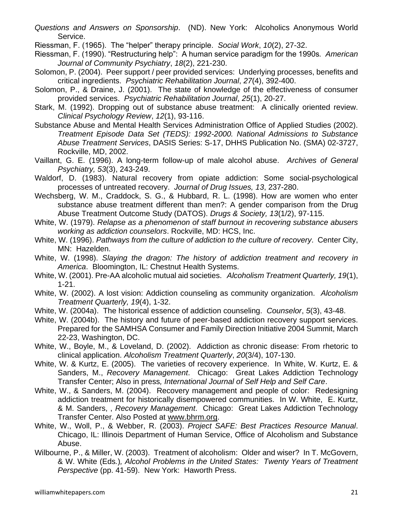- *Questions and Answers on Sponsorship*. (ND). New York: Alcoholics Anonymous World Service.
- Riessman, F. (1965). The "helper" therapy principle. *Social Work*, *10*(2), 27-32.
- Riessman, F. (1990). "Restructuring help": A human service paradigm for the 1990s*. American Journal of Community Psychiatry*, *18*(2), 221-230.
- Solomon, P. (2004). Peer support / peer provided services: Underlying processes, benefits and critical ingredients. *Psychiatric Rehabilitation Journal*, *27*(4), 392-400.
- Solomon, P., & Draine, J. (2001). The state of knowledge of the effectiveness of consumer provided services. *Psychiatric Rehabilitation Journal*, *25*(1), 20-27.
- Stark, M. (1992). Dropping out of substance abuse treatment: A clinically oriented review. *Clinical Psychology Review*, *12*(1), 93-116.
- Substance Abuse and Mental Health Services Administration Office of Applied Studies (2002). *Treatment Episode Data Set (TEDS): 1992-2000. National Admissions to Substance Abuse Treatment Services*, DASIS Series: S-17, DHHS Publication No. (SMA) 02-3727, Rockville, MD, 2002.
- Vaillant, G. E. (1996). A long-term follow-up of male alcohol abuse. *Archives of General Psychiatry, 53*(3), 243-249.
- Waldorf, D. (1983). Natural recovery from opiate addiction: Some social-psychological processes of untreated recovery. *Journal of Drug Issues, 13*, 237-280.
- Wechsberg, W. M., Craddock, S. G., & Hubbard, R. L. (1998). How are women who enter substance abuse treatment different than men?: A gender comparison from the Drug Abuse Treatment Outcome Study (DATOS). *Drugs & Society, 13*(1/2), 97-115.
- White, W. (1979). *Relapse as a phenomenon of staff burnout in recovering substance abusers working as addiction counselors*. Rockville, MD: HCS, Inc.
- White, W. (1996). *Pathways from the culture of addiction to the culture of recovery*. Center City, MN: Hazelden.
- White, W. (1998). *Slaying the dragon: The history of addiction treatment and recovery in America*. Bloomington, IL: Chestnut Health Systems.
- White, W. (2001). Pre-AA alcoholic mutual aid societies. *Alcoholism Treatment Quarterly, 19*(1), 1-21.
- White, W. (2002). A lost vision: Addiction counseling as community organization. *Alcoholism Treatment Quarterly, 19*(4), 1-32.
- White, W. (2004a). The historical essence of addiction counseling. *Counselor*, *5*(3), 43-48.
- White, W. (2004b). The history and future of peer-based addiction recovery support services. Prepared for the SAMHSA Consumer and Family Direction Initiative 2004 Summit, March 22-23, Washington, DC.
- White, W., Boyle, M., & Loveland, D. (2002). Addiction as chronic disease: From rhetoric to clinical application. *Alcoholism Treatment Quarterly*, *20*(3/4), 107-130.
- White, W. & Kurtz, E. (2005). The varieties of recovery experience. In White, W. Kurtz, E. & Sanders, M., *Recovery Management*. Chicago: Great Lakes Addiction Technology Transfer Center; Also in press*, International Journal of Self Help and Self Care*.
- White, W., & Sanders, M. (2004). Recovery management and people of color: Redesigning addiction treatment for historically disempowered communities. In W. White, E. Kurtz, & M. Sanders, , *Recovery Management*. Chicago: Great Lakes Addiction Technology Transfer Center. Also Posted at [www.bhrm.org.](http://www.bhrm.org/)
- White, W., Woll, P., & Webber, R. (2003). *Project SAFE: Best Practices Resource Manual*. Chicago, IL: Illinois Department of Human Service, Office of Alcoholism and Substance Abuse.
- Wilbourne, P., & Miller, W. (2003). Treatment of alcoholism: Older and wiser? In T. McGovern, & W. White (Eds*.*)*, Alcohol Problems in the United States: Twenty Years of Treatment Perspective* (pp. 41-59). New York: Haworth Press.